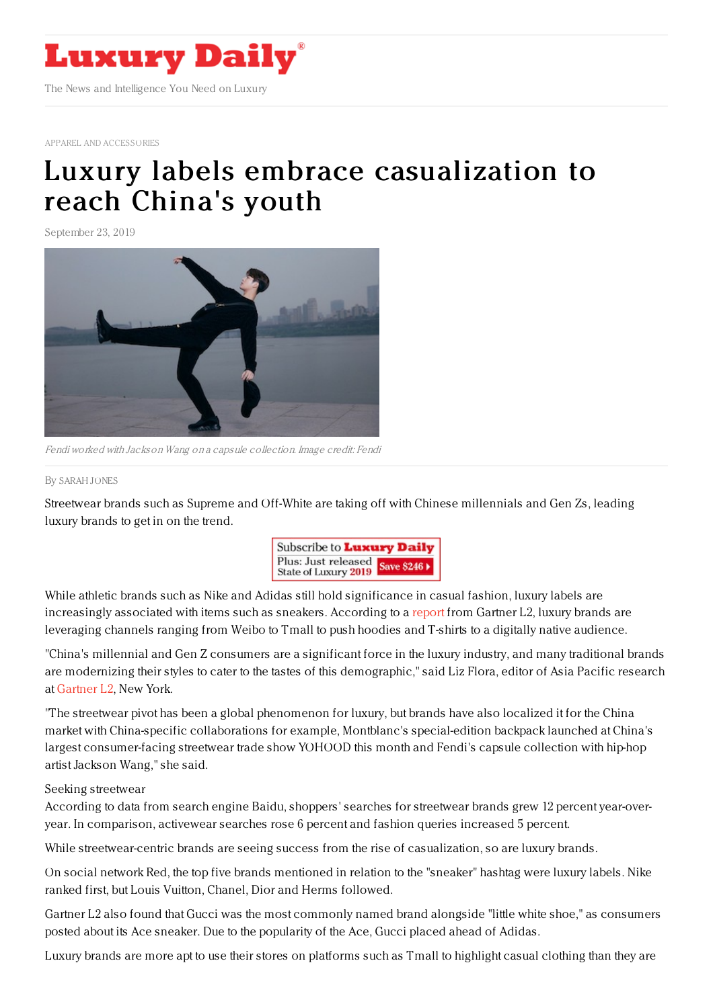

APPAREL AND [ACCESSORIES](https://www.luxurydaily.com/category/sectors/apparel-and-accessories/)

## Luxury labels embrace [casualization](https://www.luxurydaily.com/luxury-labels-embrace-casualization-to-reach-chinas-youth/) to reach China's youth

September 23, 2019



Fendi worked with Jackson Wang on a capsule collection. Image credit: Fendi

## By [SARAH](file:///author/sarah-jones) JONES

Streetwear brands such as Supreme and Off-White are taking off with Chinese millennials and Gen Zs, leading luxury brands to get in on the trend.



While athletic brands such as Nike and Adidas still hold significance in casual fashion, luxury labels are increasingly associated with items such as sneakers. According to a [report](https://www.l2inc.com/research/luxury-china-streetwear) from Gartner L2, luxury brands are leveraging channels ranging from Weibo to Tmall to push hoodies and T-shirts to a digitally native audience.

"China's millennial and Gen Z consumers are a significant force in the luxury industry, and many traditional brands are modernizing their styles to cater to the tastes of this demographic," said Liz Flora, editor of Asia Pacific research at [Gartner](https://www.l2inc.com/research) L2, New York.

"The streetwear pivot has been a global phenomenon for luxury, but brands have also localized it for the China market with China-specific collaborations for example, Montblanc's special-edition backpack launched at China's largest consumer-facing streetwear trade show YOHOOD this month and Fendi's capsule collection with hip-hop artist Jackson Wang," she said.

## Seeking streetwear

According to data from search engine Baidu, shoppers' searches for streetwear brands grew 12 percent year-overyear. In comparison, activewear searches rose 6 percent and fashion queries increased 5 percent.

While streetwear-centric brands are seeing success from the rise of casualization, so are luxury brands.

On social network Red, the top five brands mentioned in relation to the "sneaker" hashtag were luxury labels. Nike ranked first, but Louis Vuitton, Chanel, Dior and Herms followed.

Gartner L2 also found that Gucci was the most commonly named brand alongside "little white shoe," as consumers posted about its Ace sneaker. Due to the popularity of the Ace, Gucci placed ahead of Adidas.

Luxury brands are more apt to use their stores on platforms such as Tmall to highlight casual clothing than they are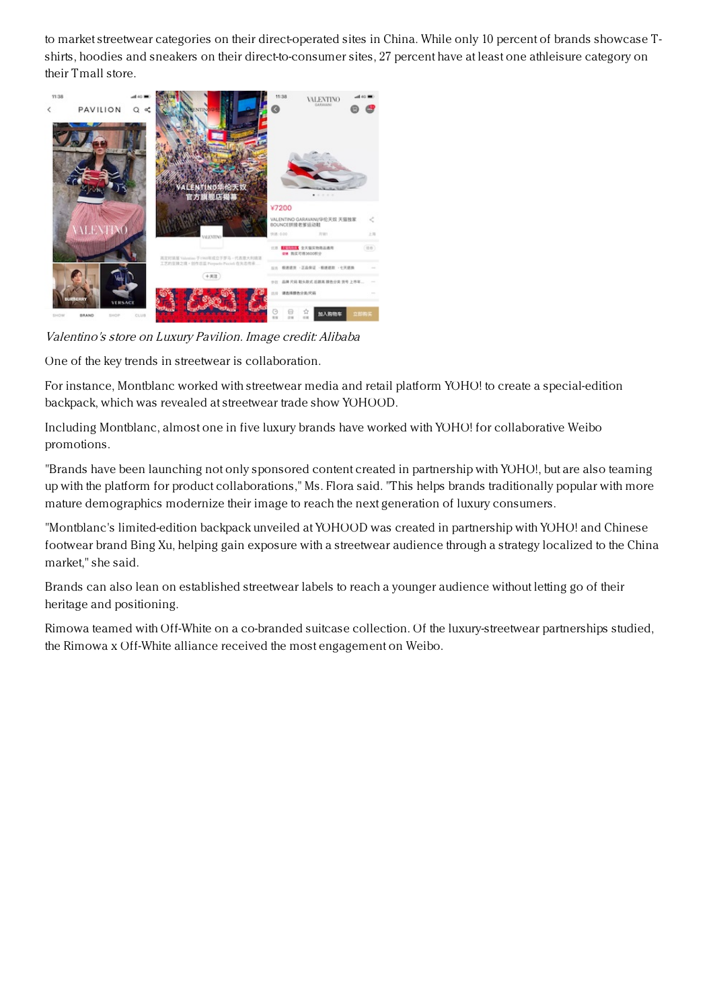to market streetwear categories on their direct-operated sites in China. While only 10 percent of brands showcase Tshirts, hoodies and sneakers on their direct-to-consumer sites, 27 percent have at least one athleisure category on their Tmall store.



Valentino's store on Luxury Pavilion. Image credit: Alibaba

One of the key trends in streetwear is collaboration.

For instance, Montblanc worked with streetwear media and retail platform YOHO! to create a special-edition backpack, which was revealed at streetwear trade show YOHOOD.

Including Montblanc, almost one in five luxury brands have worked with YOHO! for collaborative Weibo promotions.

"Brands have been launching not only sponsored content created in partnership with YOHO!, but are also teaming up with the platform for product collaborations," Ms. Flora said. "This helps brands traditionally popular with more mature demographics modernize their image to reach the next generation of luxury consumers.

"Montblanc's limited-edition backpack unveiled at YOHOOD was created in partnership with YOHO! and Chinese footwear brand Bing Xu, helping gain exposure with a streetwear audience through a strategy localized to the China market," she said.

Brands can also lean on established streetwear labels to reach a younger audience without letting go of their heritage and positioning.

Rimowa teamed with Off-White on a co-branded suitcase collection. Of the luxury-streetwear partnerships studied, the Rimowa x Off-White alliance received the most engagement on Weibo.